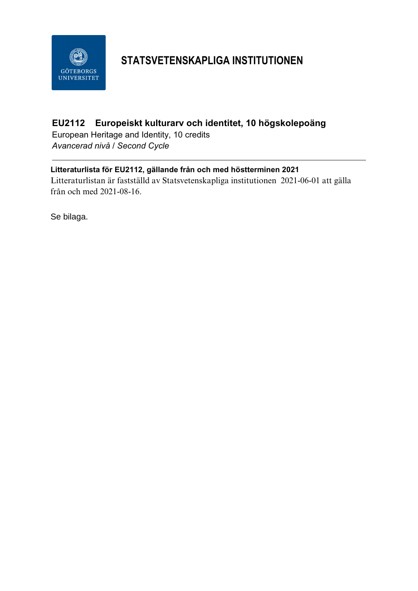

## **STATSVETENSKAPLIGA INSTITUTIONEN**

## **EU2112 Europeiskt kulturarv och identitet, 10 högskolepoäng**

European Heritage and Identity, 10 credits *Avancerad nivå / Second Cycle*

### **Litteraturlista för EU2112, gällande från och med höstterminen 2021**

Litteraturlistan är fastställd av Statsvetenskapliga institutionen 2021-06-01 att gälla från och med 2021-08-16.

Se bilaga.